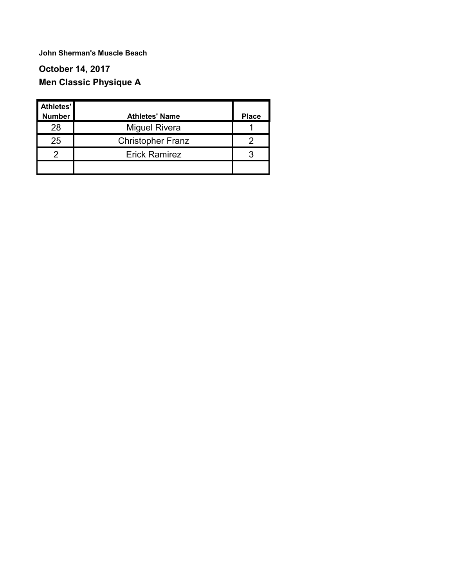### **October 14, 2017 Men Classic Physique A**

| Athletes'     |                          |              |
|---------------|--------------------------|--------------|
| <b>Number</b> | <b>Athletes' Name</b>    | <b>Place</b> |
| 28            | <b>Miguel Rivera</b>     |              |
| 25            | <b>Christopher Franz</b> |              |
| ႒             | <b>Erick Ramirez</b>     | 3            |
|               |                          |              |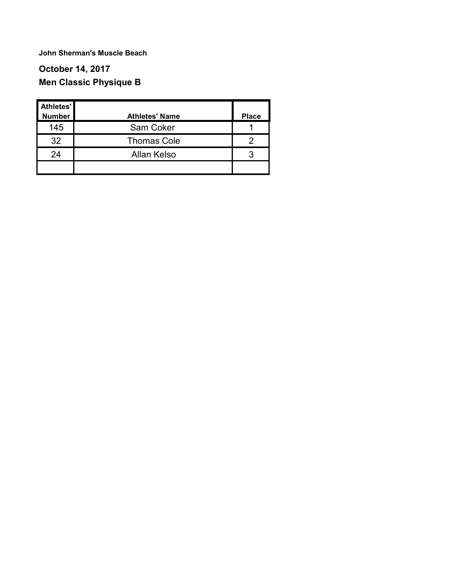### **October 14, 2017 Men Classic Physique B**

| Athletes'<br><b>Number</b> | <b>Athletes' Name</b> | <b>Place</b> |
|----------------------------|-----------------------|--------------|
| 145                        | Sam Coker             |              |
| 32                         | <b>Thomas Cole</b>    |              |
| 24                         | Allan Kelso           | 3            |
|                            |                       |              |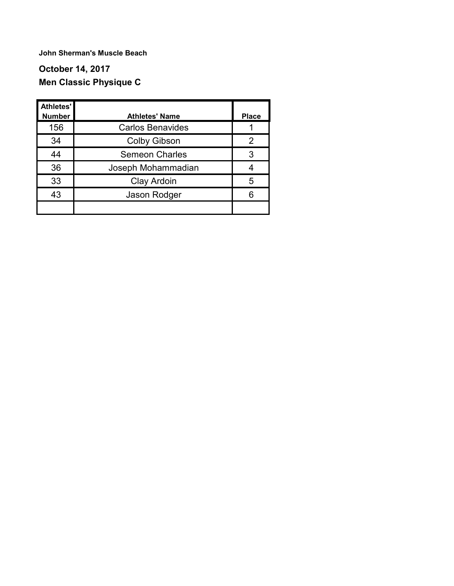### **October 14, 2017 Men Classic Physique C**

| Athletes'<br><b>Number</b> | <b>Athletes' Name</b>   | <b>Place</b> |
|----------------------------|-------------------------|--------------|
| 156                        | <b>Carlos Benavides</b> |              |
| 34                         | <b>Colby Gibson</b>     | 2            |
| 44                         | <b>Semeon Charles</b>   | 3            |
| 36                         | Joseph Mohammadian      |              |
| 33                         | Clay Ardoin             | 5            |
| 43                         | Jason Rodger            | 6            |
|                            |                         |              |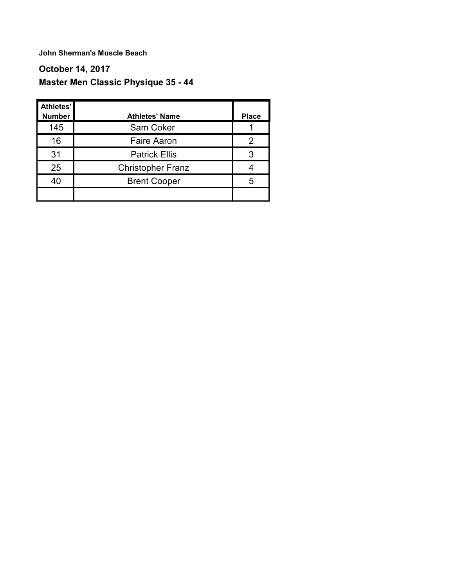### **October 14, 2017 Master Men Classic Physique 35 - 44**

| Athletes'<br><b>Number</b> | <b>Athletes' Name</b>    | <b>Place</b> |
|----------------------------|--------------------------|--------------|
| 145                        | Sam Coker                |              |
| 16                         | <b>Faire Aaron</b>       | 2            |
| 31                         | <b>Patrick Ellis</b>     | 3            |
| 25                         | <b>Christopher Franz</b> |              |
| 40                         | <b>Brent Cooper</b>      | 5            |
|                            |                          |              |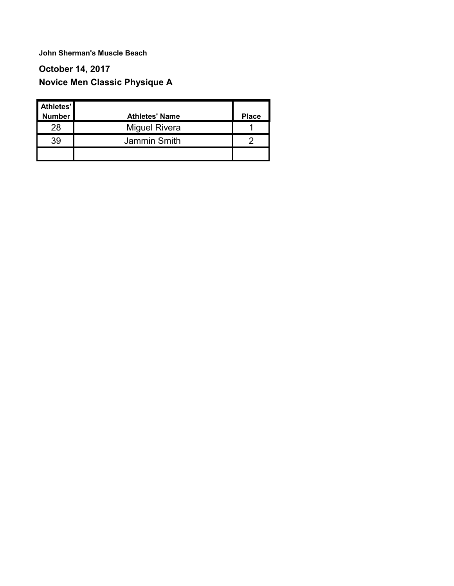### **October 14, 2017 Novice Men Classic Physique A**

| Athletes'<br>Number | <b>Athletes' Name</b> | <b>Place</b> |
|---------------------|-----------------------|--------------|
| 28                  | <b>Miguel Rivera</b>  |              |
| 39                  | Jammin Smith          |              |
|                     |                       |              |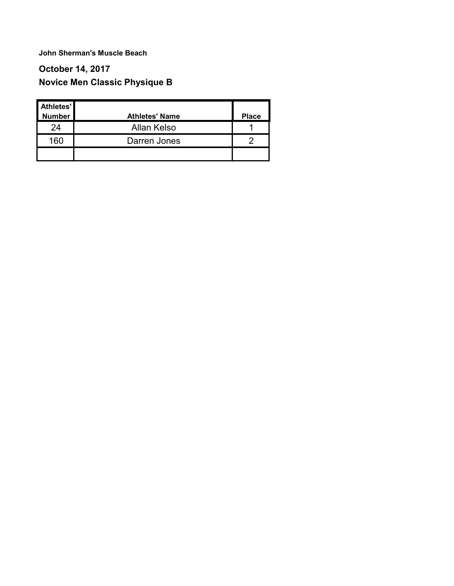### **October 14, 2017 Novice Men Classic Physique B**

| Athletes'<br><b>Number</b> | <b>Athletes' Name</b> | <b>Place</b> |
|----------------------------|-----------------------|--------------|
| 24                         | Allan Kelso           |              |
| 160                        | Darren Jones          |              |
|                            |                       |              |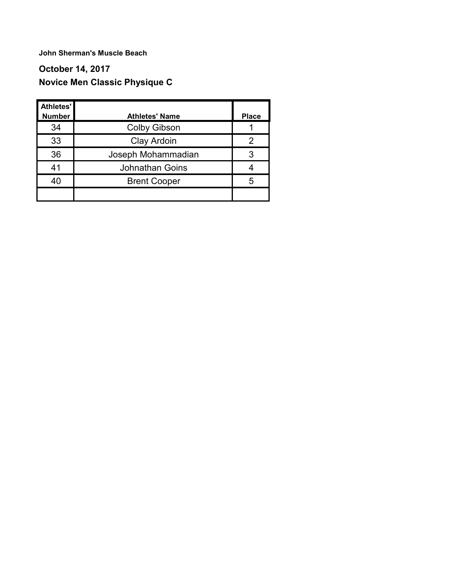### **October 14, 2017 Novice Men Classic Physique C**

| Athletes'<br><b>Number</b> | <b>Athletes' Name</b>  | <b>Place</b> |
|----------------------------|------------------------|--------------|
| 34                         | <b>Colby Gibson</b>    |              |
| 33                         | Clay Ardoin            | 2            |
| 36                         | Joseph Mohammadian     | 3            |
| 41                         | <b>Johnathan Goins</b> |              |
| 40                         | <b>Brent Cooper</b>    | 5            |
|                            |                        |              |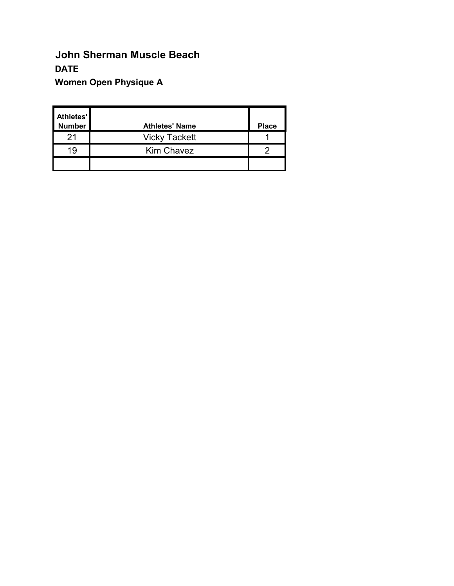# **John Sherman Muscle Beach DATE Women Open Physique A**

| Athletes'<br><b>Number</b> | <b>Athletes' Name</b> | <b>Place</b> |
|----------------------------|-----------------------|--------------|
| 21                         | <b>Vicky Tackett</b>  |              |
| 19                         | <b>Kim Chavez</b>     |              |
|                            |                       |              |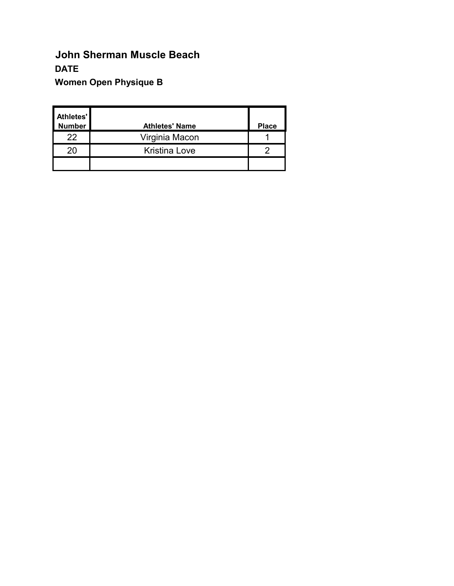# **John Sherman Muscle Beach DATE Women Open Physique B**

| Athletes'<br><b>Number</b> | <b>Athletes' Name</b> | <b>Place</b> |
|----------------------------|-----------------------|--------------|
| 22                         | Virginia Macon        |              |
| 20                         | <b>Kristina Love</b>  |              |
|                            |                       |              |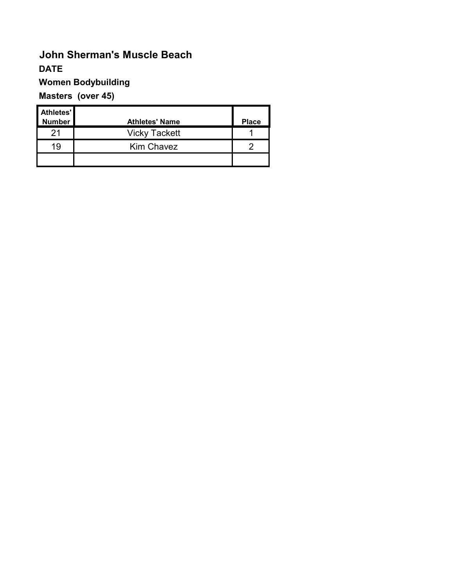### **Women Bodybuilding**

### **Masters (over 45)**

| Athletes'<br><b>Number</b> | <b>Athletes' Name</b> | <b>Place</b> |
|----------------------------|-----------------------|--------------|
| 21                         | <b>Vicky Tackett</b>  |              |
| 19                         | <b>Kim Chavez</b>     |              |
|                            |                       |              |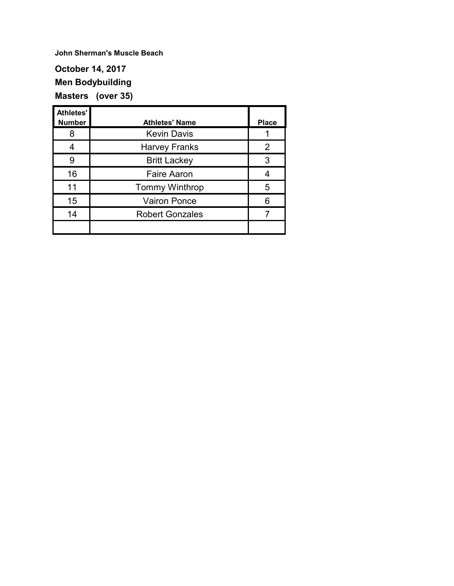**October 14, 2017 Men Bodybuilding Masters (over 35)**

| <b>Athletes'</b><br><b>Number</b> | <b>Athletes' Name</b>  | <b>Place</b> |
|-----------------------------------|------------------------|--------------|
| 8                                 | <b>Kevin Davis</b>     |              |
|                                   | <b>Harvey Franks</b>   | 2            |
| 9                                 | <b>Britt Lackey</b>    | 3            |
| 16                                | <b>Faire Aaron</b>     |              |
| 11                                | <b>Tommy Winthrop</b>  | 5            |
| 15                                | <b>Vairon Ponce</b>    | 6            |
| 14                                | <b>Robert Gonzales</b> |              |
|                                   |                        |              |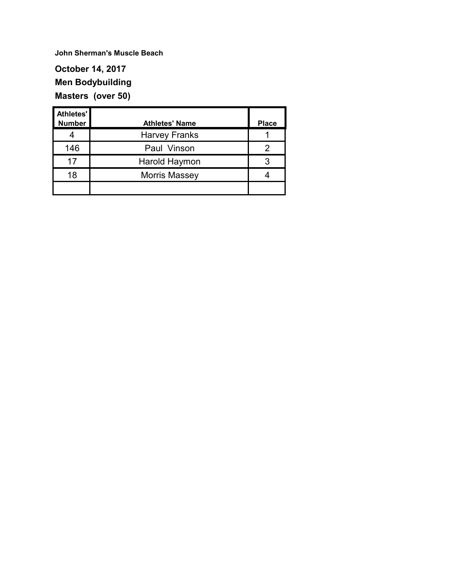#### **October 14, 2017 Men Bodybuilding Masters (over 50)**

| Athletes'<br><b>Number</b> | <b>Athletes' Name</b> | <b>Place</b> |
|----------------------------|-----------------------|--------------|
| 4                          | <b>Harvey Franks</b>  |              |
| 146                        | Paul Vinson           | 2            |
| 17                         | Harold Haymon         | 3            |
| 18                         | <b>Morris Massey</b>  |              |
|                            |                       |              |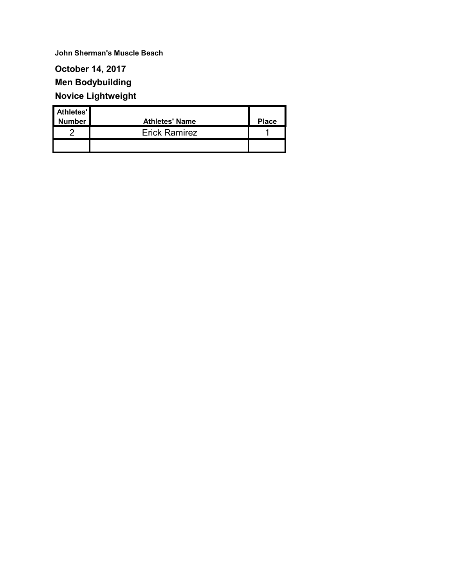#### **October 14, 2017 Men Bodybuilding**

**Novice Lightweight**

# **Athletes' Number Athletes' Name Place** 2 **Erick Ramirez** 1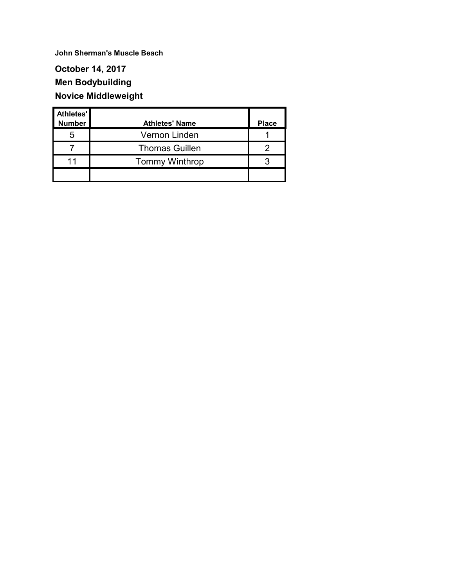### **October 14, 2017 Men Bodybuilding Novice Middleweight**

| Athletes'     |                       |              |
|---------------|-----------------------|--------------|
| <b>Number</b> | <b>Athletes' Name</b> | <b>Place</b> |
| 5             | Vernon Linden         |              |
|               | <b>Thomas Guillen</b> |              |
| 11            | <b>Tommy Winthrop</b> |              |
|               |                       |              |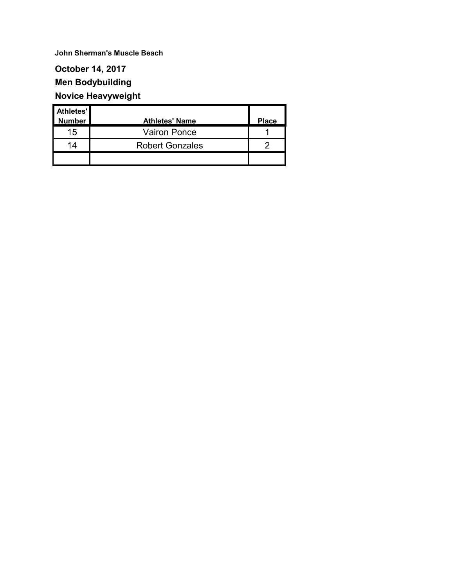#### **October 14, 2017**

### **Men Bodybuilding**

## **Novice Heavyweight**

| Athletes'     |                        |              |
|---------------|------------------------|--------------|
| <b>Number</b> | <b>Athletes' Name</b>  | <b>Place</b> |
| 15            | <b>Vairon Ponce</b>    |              |
| 14            | <b>Robert Gonzales</b> |              |
|               |                        |              |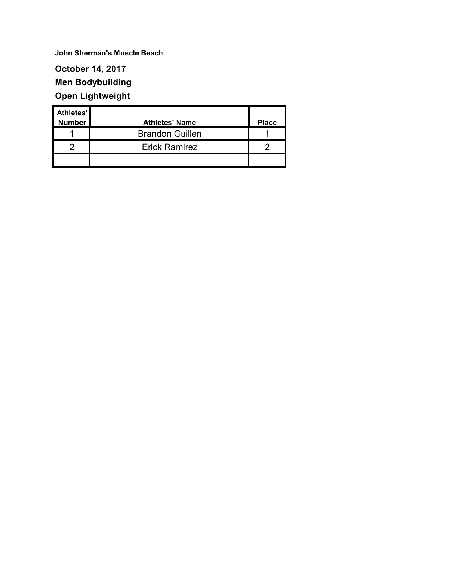### **October 14, 2017 Men Bodybuilding Open Lightweight**

| Athletes'     |                        |              |
|---------------|------------------------|--------------|
| <b>Number</b> | <b>Athletes' Name</b>  | <b>Place</b> |
|               | <b>Brandon Guillen</b> |              |
| ∩             | <b>Erick Ramirez</b>   |              |
|               |                        |              |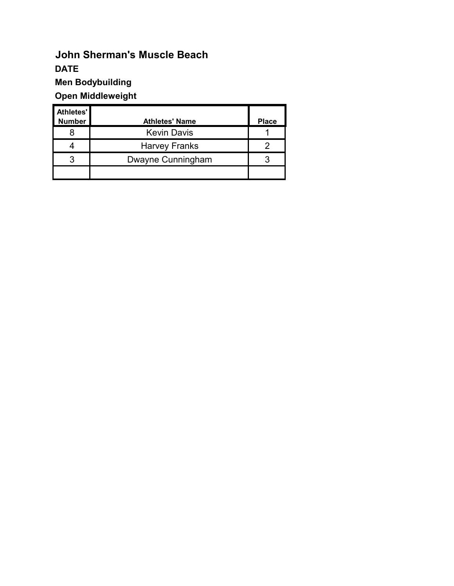**Men Bodybuilding**

## **Open Middleweight**

| Athletes'<br><b>Number</b> | <b>Athletes' Name</b> | <b>Place</b> |
|----------------------------|-----------------------|--------------|
| 8                          | <b>Kevin Davis</b>    |              |
| 4                          | <b>Harvey Franks</b>  |              |
| 3                          | Dwayne Cunningham     | ว            |
|                            |                       |              |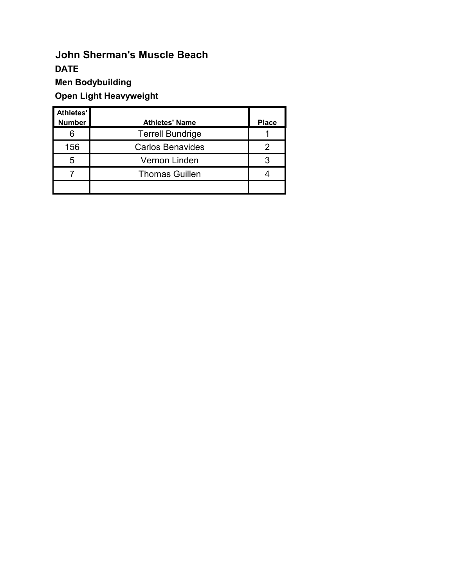**Men Bodybuilding**

**Open Light Heavyweight**

| Athletes'     |                         |              |
|---------------|-------------------------|--------------|
| <b>Number</b> | <b>Athletes' Name</b>   | <b>Place</b> |
| 6             | <b>Terrell Bundrige</b> |              |
| 156           | <b>Carlos Benavides</b> |              |
| 5             | Vernon Linden           | 3            |
|               | <b>Thomas Guillen</b>   |              |
|               |                         |              |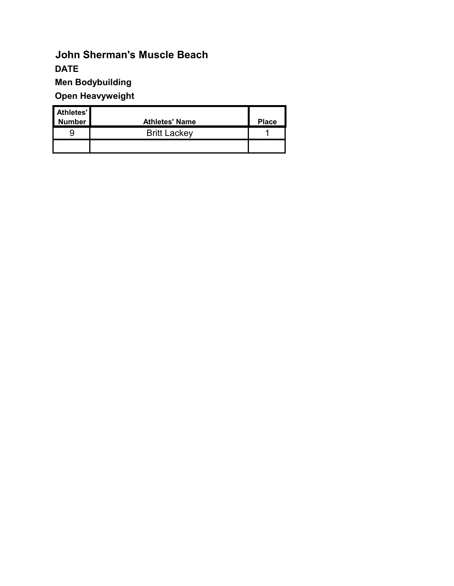**Men Bodybuilding**

**Open Heavyweight**

| <b>Athletes'</b> |                       |              |
|------------------|-----------------------|--------------|
| <b>Number</b>    | <b>Athletes' Name</b> | <b>Place</b> |
| 9                | <b>Britt Lackey</b>   |              |
|                  |                       |              |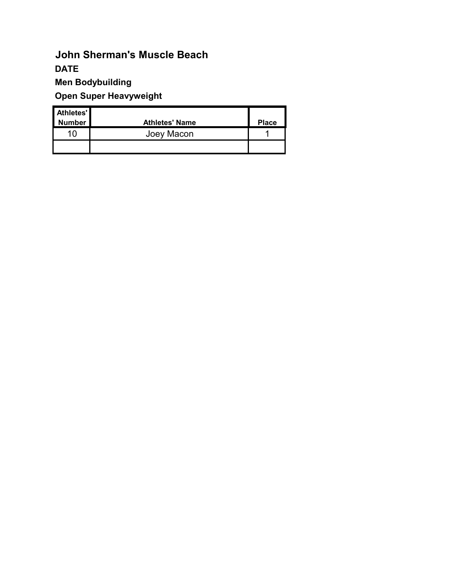**Men Bodybuilding**

**Open Super Heavyweight**

| <b>Athletes'</b> |                       |              |
|------------------|-----------------------|--------------|
| <b>Number</b>    | <b>Athletes' Name</b> | <b>Place</b> |
| 10               | Joey Macon            |              |
|                  |                       |              |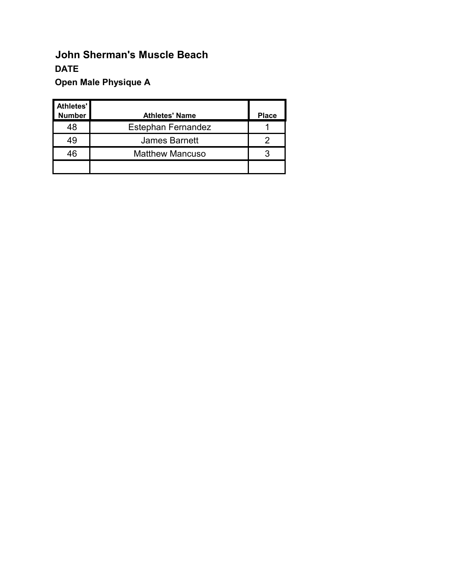# **John Sherman's Muscle Beach DATE Open Male Physique A**

| Athletes'     |                           |              |
|---------------|---------------------------|--------------|
| <b>Number</b> | <b>Athletes' Name</b>     | <b>Place</b> |
| 48            | <b>Estephan Fernandez</b> |              |
| 49            | <b>James Barnett</b>      |              |
| 46            | <b>Matthew Mancuso</b>    | 3            |
|               |                           |              |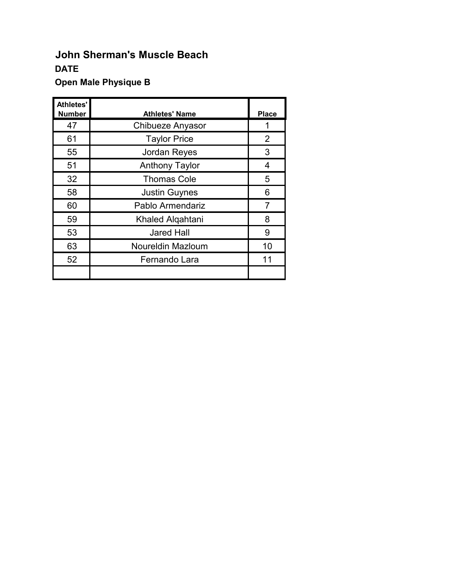### **Open Male Physique B**

| Athletes'     |                       |                |
|---------------|-----------------------|----------------|
| <b>Number</b> | <b>Athletes' Name</b> | <b>Place</b>   |
| 47            | Chibueze Anyasor      |                |
| 61            | <b>Taylor Price</b>   | $\overline{2}$ |
| 55            | Jordan Reyes          | 3              |
| 51            | <b>Anthony Taylor</b> | 4              |
| 32            | <b>Thomas Cole</b>    | 5              |
| 58            | <b>Justin Guynes</b>  | 6              |
| 60            | Pablo Armendariz      | 7              |
| 59            | Khaled Alqahtani      | 8              |
| 53            | <b>Jared Hall</b>     | 9              |
| 63            | Noureldin Mazloum     | 10             |
| 52            | Fernando Lara         | 11             |
|               |                       |                |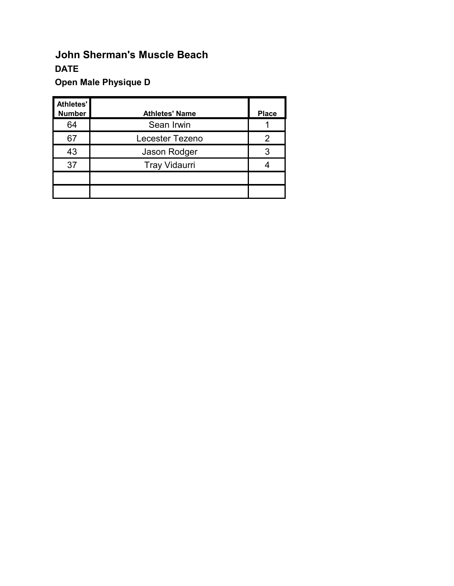# **Open Male Physique D**

| Athletes'<br><b>Number</b> | <b>Athletes' Name</b> | <b>Place</b> |
|----------------------------|-----------------------|--------------|
| 64                         | Sean Irwin            |              |
| 67                         | Lecester Tezeno       | 2            |
| 43                         | Jason Rodger          | 3            |
| 37                         | <b>Tray Vidaurri</b>  |              |
|                            |                       |              |
|                            |                       |              |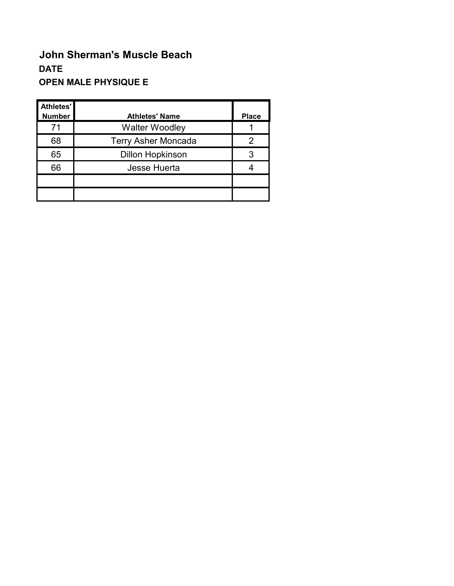# **John Sherman's Muscle Beach DATE OPEN MALE PHYSIQUE E**

| Athletes'<br><b>Number</b> | <b>Athletes' Name</b>      | <b>Place</b> |
|----------------------------|----------------------------|--------------|
| 71                         | <b>Walter Woodley</b>      |              |
| 68                         | <b>Terry Asher Moncada</b> | 2            |
| 65                         | <b>Dillon Hopkinson</b>    | 3            |
| 66                         | <b>Jesse Huerta</b>        |              |
|                            |                            |              |
|                            |                            |              |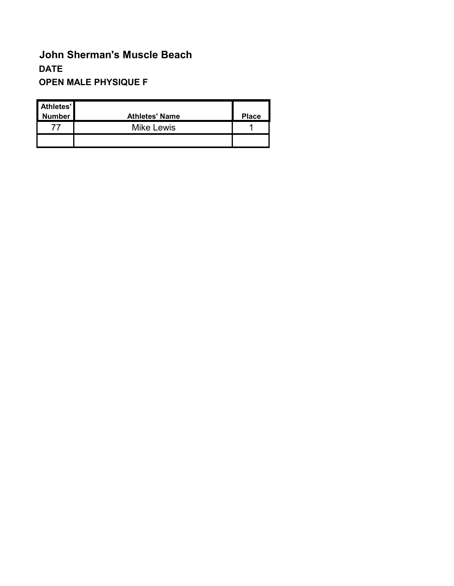# **John Sherman's Muscle Beach DATE OPEN MALE PHYSIQUE F**

| Athletes'<br>Number | <b>Athletes' Name</b> | <b>Place</b> |
|---------------------|-----------------------|--------------|
|                     | <b>Mike Lewis</b>     |              |
|                     |                       |              |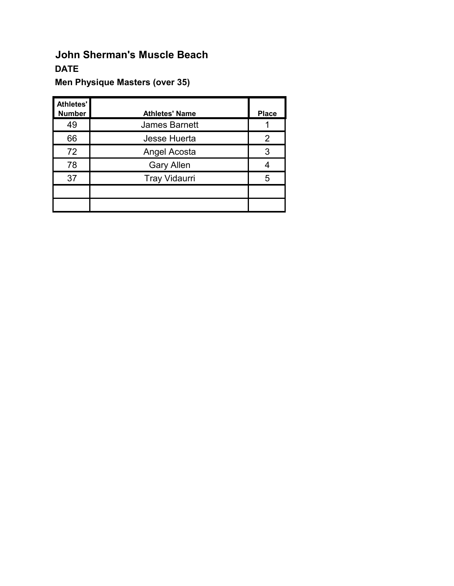## **John Sherman's Muscle Beach DATE**

## **Men Physique Masters (over 35)**

| Athletes'<br><b>Number</b> | <b>Athletes' Name</b> | <b>Place</b> |
|----------------------------|-----------------------|--------------|
| 49                         | <b>James Barnett</b>  |              |
| 66                         | Jesse Huerta          | 2            |
| 72                         | Angel Acosta          | 3            |
| 78                         | <b>Gary Allen</b>     |              |
| 37                         | <b>Tray Vidaurri</b>  | 5            |
|                            |                       |              |
|                            |                       |              |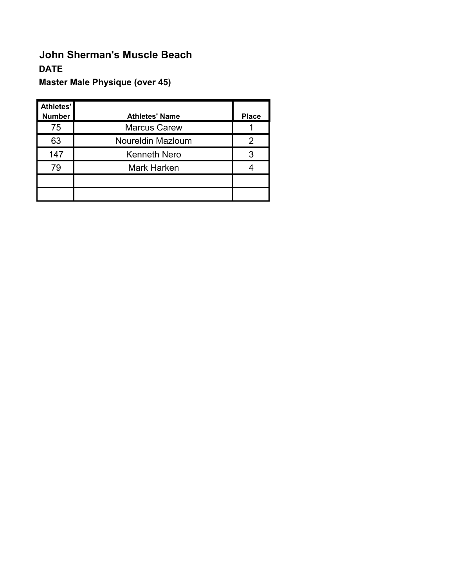# **John Sherman's Muscle Beach DATE**

## **Master Male Physique (over 45)**

| Athletes'<br><b>Number</b> | <b>Athletes' Name</b> | <b>Place</b> |
|----------------------------|-----------------------|--------------|
| 75                         | <b>Marcus Carew</b>   |              |
| 63                         | Noureldin Mazloum     | 2            |
| 147                        | <b>Kenneth Nero</b>   | 3            |
| 79                         | <b>Mark Harken</b>    |              |
|                            |                       |              |
|                            |                       |              |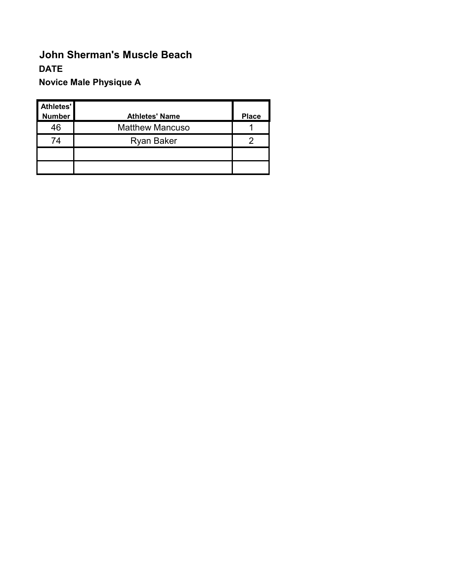# **John Sherman's Muscle Beach DATE Novice Male Physique A**

| Athletes'<br><b>Number</b> | <b>Athletes' Name</b>  | <b>Place</b> |
|----------------------------|------------------------|--------------|
| 46                         | <b>Matthew Mancuso</b> |              |
| 74                         | <b>Ryan Baker</b>      |              |
|                            |                        |              |
|                            |                        |              |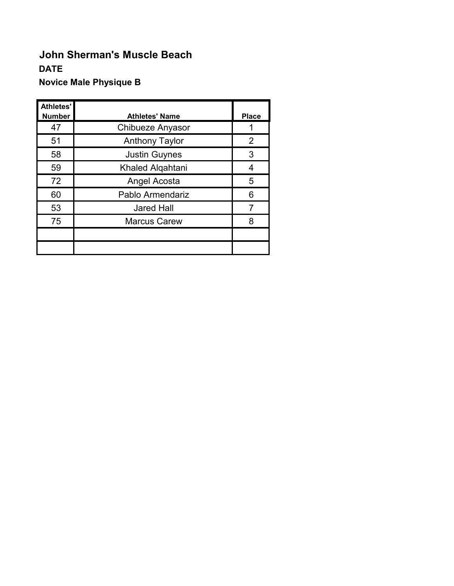# **John Sherman's Muscle Beach DATE Novice Male Physique B**

| <b>Athletes'</b><br><b>Number</b> | <b>Athletes' Name</b> | <b>Place</b> |
|-----------------------------------|-----------------------|--------------|
| 47                                | Chibueze Anyasor      |              |
| 51                                | <b>Anthony Taylor</b> | 2            |
| 58                                | <b>Justin Guynes</b>  | 3            |
| 59                                | Khaled Alqahtani      | 4            |
| 72                                | Angel Acosta          | 5            |
| 60                                | Pablo Armendariz      | 6            |
| 53                                | <b>Jared Hall</b>     | 7            |
| 75                                | <b>Marcus Carew</b>   | 8            |
|                                   |                       |              |
|                                   |                       |              |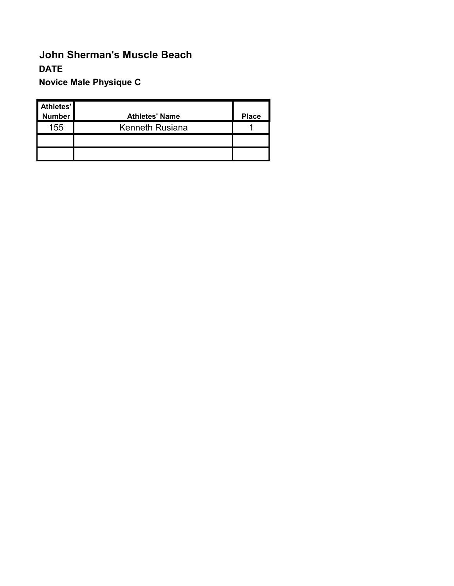# **John Sherman's Muscle Beach DATE Novice Male Physique C**

| Athletes'<br><b>Number</b> | <b>Athletes' Name</b> | <b>Place</b> |
|----------------------------|-----------------------|--------------|
| 155                        | Kenneth Rusiana       |              |
|                            |                       |              |
|                            |                       |              |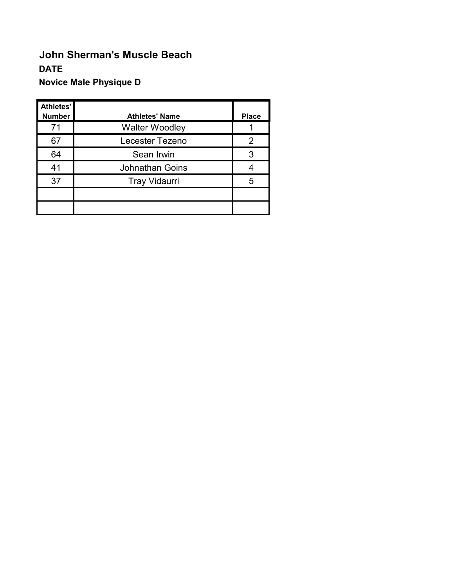# **John Sherman's Muscle Beach DATE Novice Male Physique D**

| Athletes'<br><b>Number</b> | <b>Athletes' Name</b>  | <b>Place</b> |
|----------------------------|------------------------|--------------|
| 71                         | <b>Walter Woodley</b>  |              |
| 67                         | Lecester Tezeno        | 2            |
| 64                         | Sean Irwin             | 3            |
| 41                         | <b>Johnathan Goins</b> |              |
| 37                         | <b>Tray Vidaurri</b>   | 5            |
|                            |                        |              |
|                            |                        |              |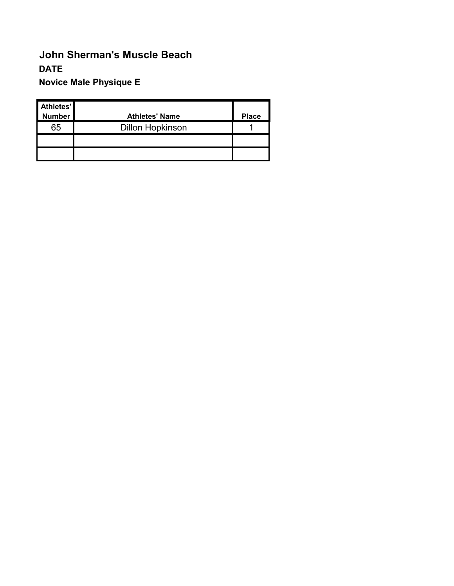# **John Sherman's Muscle Beach DATE Novice Male Physique E**

| Athletes'<br><b>Number</b> | <b>Athletes' Name</b>   | <b>Place</b> |
|----------------------------|-------------------------|--------------|
| 65                         | <b>Dillon Hopkinson</b> |              |
|                            |                         |              |
|                            |                         |              |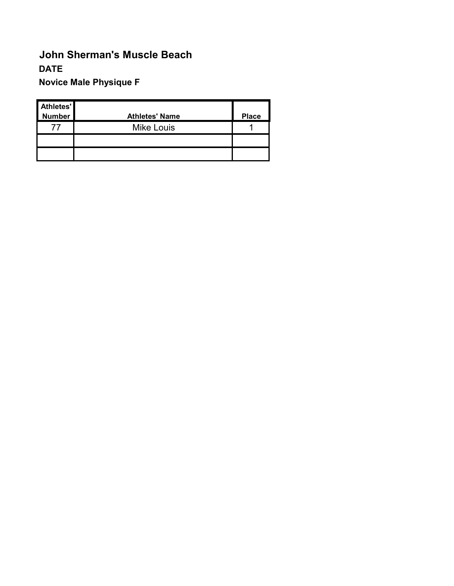# **John Sherman's Muscle Beach DATE Novice Male Physique F**

| Athletes'<br>Number | <b>Athletes' Name</b> | <b>Place</b> |
|---------------------|-----------------------|--------------|
|                     | <b>Mike Louis</b>     |              |
|                     |                       |              |
|                     |                       |              |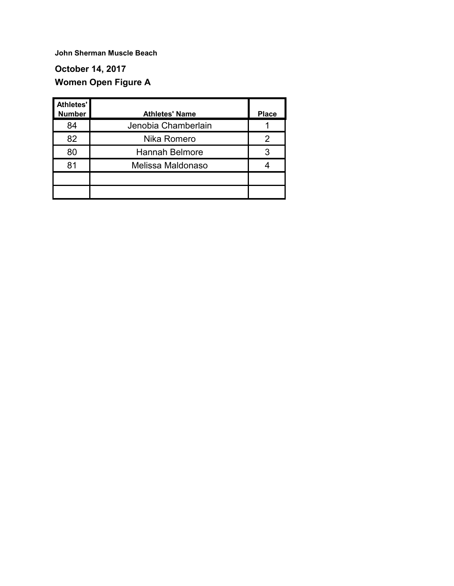## **October 14, 2017 Women Open Figure A**

| Athletes'<br><b>Number</b> | <b>Athletes' Name</b> | <b>Place</b> |
|----------------------------|-----------------------|--------------|
| 84                         | Jenobia Chamberlain   |              |
| 82                         | Nika Romero           | 2            |
| 80                         | <b>Hannah Belmore</b> |              |
| 81                         | Melissa Maldonaso     |              |
|                            |                       |              |
|                            |                       |              |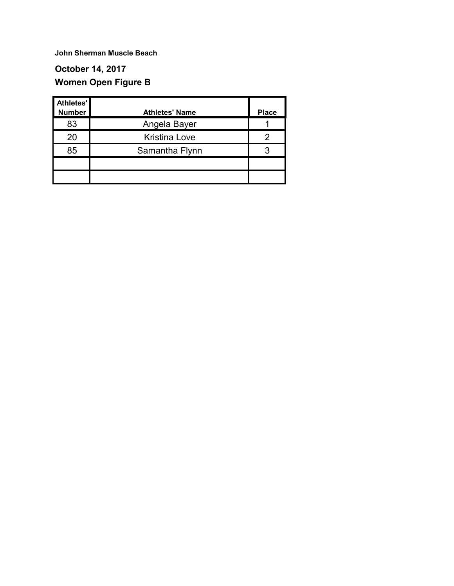## **October 14, 2017 Women Open Figure B**

| Athletes'<br><b>Number</b> | <b>Athletes' Name</b> | <b>Place</b> |
|----------------------------|-----------------------|--------------|
| 83                         | Angela Bayer          |              |
| 20                         | <b>Kristina Love</b>  | 2            |
| 85                         | Samantha Flynn        | 3            |
|                            |                       |              |
|                            |                       |              |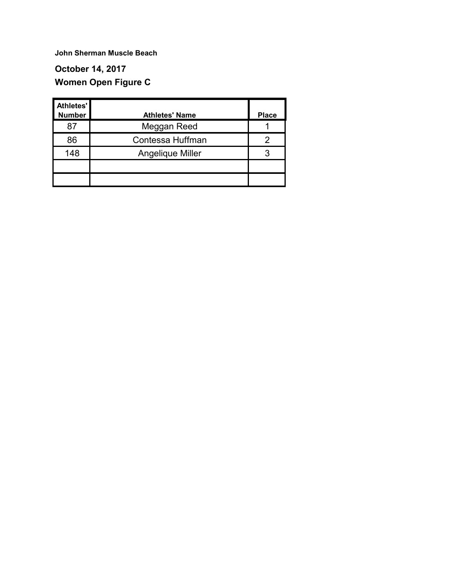## **October 14, 2017 Women Open Figure C**

| Athletes'<br><b>Number</b> | <b>Athletes' Name</b> | <b>Place</b> |
|----------------------------|-----------------------|--------------|
| 87                         | Meggan Reed           |              |
| 86                         | Contessa Huffman      | 2            |
| 148                        | Angelique Miller      | 3            |
|                            |                       |              |
|                            |                       |              |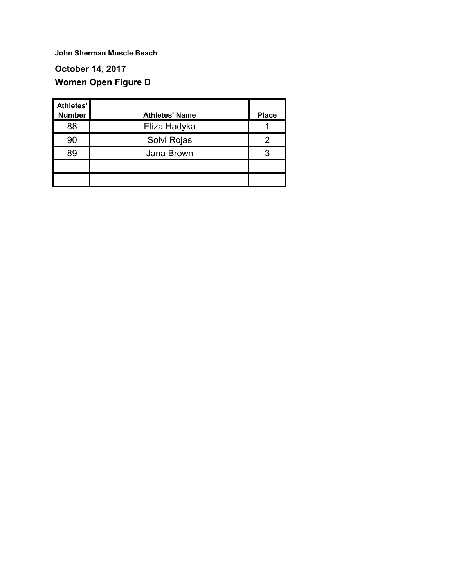## **October 14, 2017 Women Open Figure D**

| Athletes'<br><b>Number</b> | <b>Athletes' Name</b> | <b>Place</b> |
|----------------------------|-----------------------|--------------|
| 88                         | Eliza Hadyka          |              |
| 90                         | Solvi Rojas           | 2            |
| 89                         | Jana Brown            | 3            |
|                            |                       |              |
|                            |                       |              |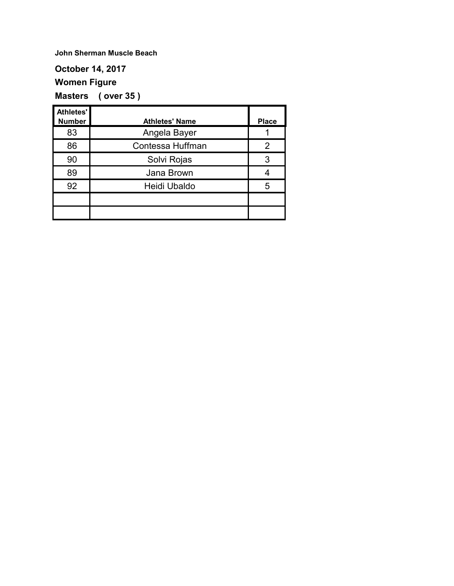#### **October 14, 2017**

#### **Women Figure**

**Masters ( over 35 )**

| <b>Athletes'</b> |                       |              |
|------------------|-----------------------|--------------|
| <b>Number</b>    | <b>Athletes' Name</b> | <b>Place</b> |
| 83               | Angela Bayer          |              |
| 86               | Contessa Huffman      | 2            |
| 90               | Solvi Rojas           | 3            |
| 89               | Jana Brown            |              |
| 92               | Heidi Ubaldo          | 5            |
|                  |                       |              |
|                  |                       |              |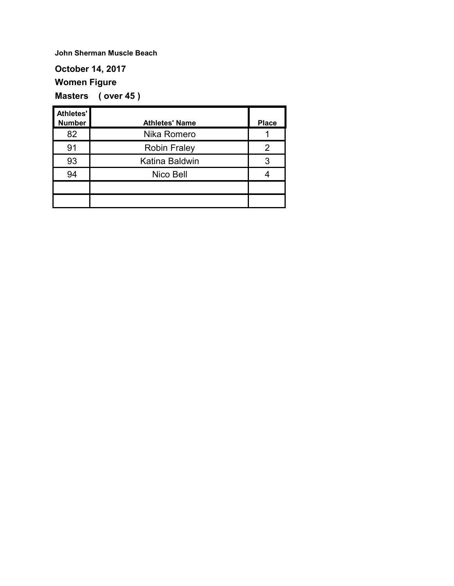#### **October 14, 2017**

## **Women Figure**

**Masters ( over 45 )**

| Athletes'<br><b>Number</b> | <b>Athletes' Name</b> | <b>Place</b> |
|----------------------------|-----------------------|--------------|
| 82                         | Nika Romero           |              |
| 91                         | <b>Robin Fraley</b>   | 2            |
| 93                         | Katina Baldwin        | 3            |
| 94                         | Nico Bell             |              |
|                            |                       |              |
|                            |                       |              |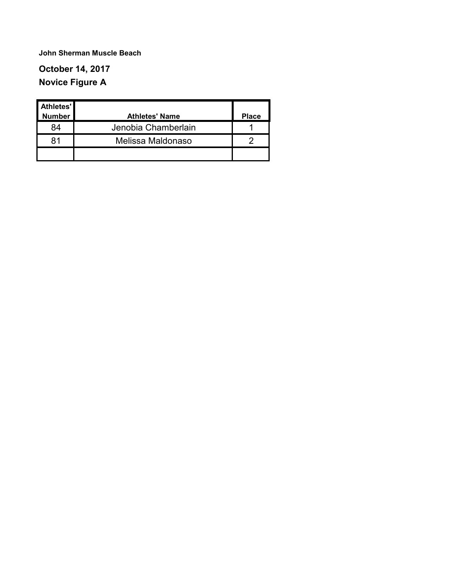## **October 14, 2017 Novice Figure A**

| Athletes'<br><b>Number</b> | <b>Athletes' Name</b> | <b>Place</b> |
|----------------------------|-----------------------|--------------|
| 84                         | Jenobia Chamberlain   |              |
| 81                         | Melissa Maldonaso     |              |
|                            |                       |              |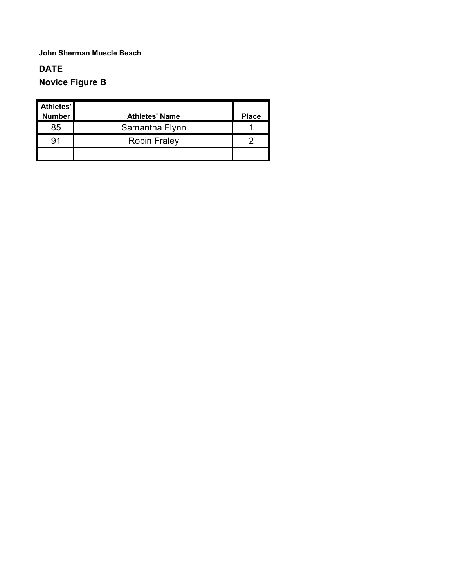### **DATE Novice Figure B**

| Athletes'<br><b>Number</b> | <b>Athletes' Name</b> | <b>Place</b> |
|----------------------------|-----------------------|--------------|
| 85                         | Samantha Flynn        |              |
| 91                         | <b>Robin Fraley</b>   |              |
|                            |                       |              |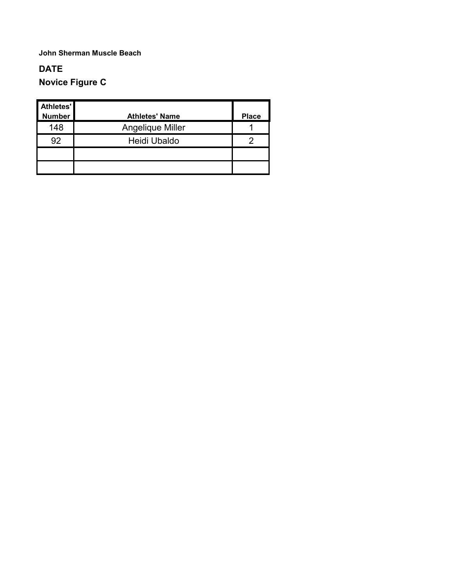### **DATE Novice Figure C**

| Athletes'<br><b>Number</b> | <b>Athletes' Name</b> | <b>Place</b> |
|----------------------------|-----------------------|--------------|
| 148                        | Angelique Miller      |              |
| 92                         | Heidi Ubaldo          | 2            |
|                            |                       |              |
|                            |                       |              |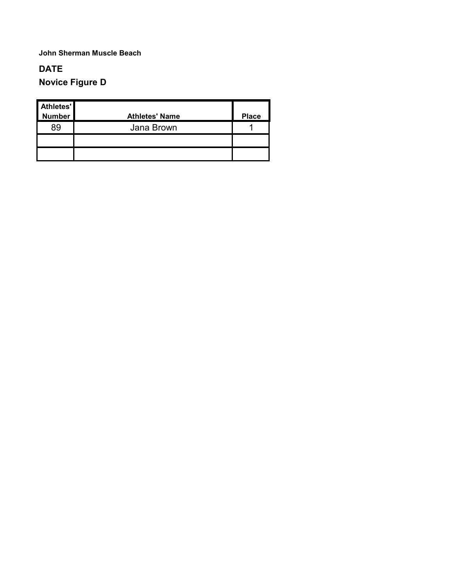### **DATE Novice Figure D**

| Athletes'<br>Number | <b>Athletes' Name</b> | <b>Place</b> |
|---------------------|-----------------------|--------------|
| 89                  | Jana Brown            |              |
|                     |                       |              |
|                     |                       |              |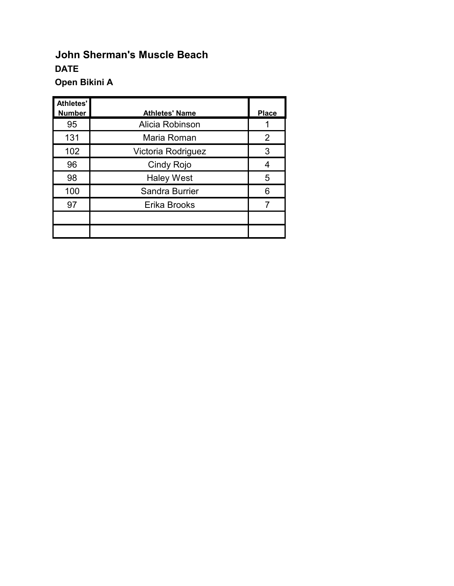# **John Sherman's Muscle Beach DATE Open Bikini A**

| <b>Athletes'</b><br><b>Number</b> | <b>Athletes' Name</b> | <b>Place</b>   |
|-----------------------------------|-----------------------|----------------|
| 95                                | Alicia Robinson       |                |
| 131                               | Maria Roman           | $\overline{2}$ |
| 102                               | Victoria Rodriguez    | 3              |
| 96                                | Cindy Rojo            | 4              |
| 98                                | <b>Haley West</b>     | 5              |
| 100                               | Sandra Burrier        | 6              |
| 97                                | Erika Brooks          | 7              |
|                                   |                       |                |
|                                   |                       |                |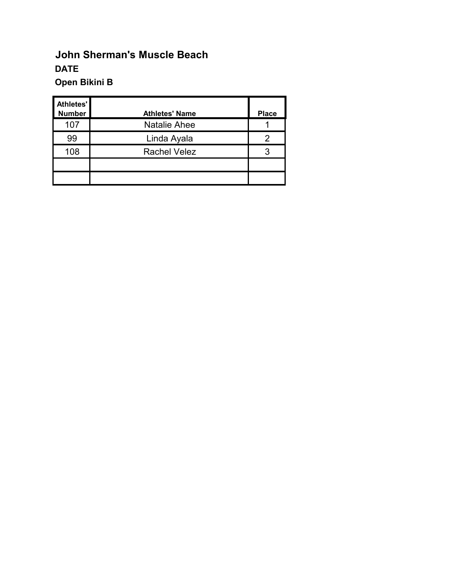# **John Sherman's Muscle Beach DATE Open Bikini B**

| Athletes'<br><b>Number</b> | <b>Athletes' Name</b> | <b>Place</b> |
|----------------------------|-----------------------|--------------|
| 107                        | <b>Natalie Ahee</b>   |              |
| 99                         | Linda Ayala           | 2            |
| 108                        | <b>Rachel Velez</b>   | 3            |
|                            |                       |              |
|                            |                       |              |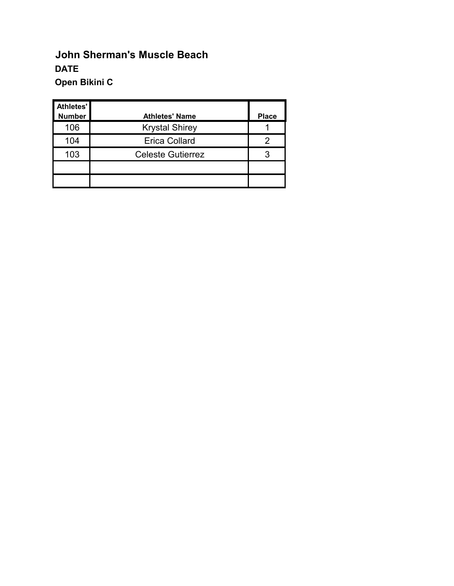# **John Sherman's Muscle Beach DATE Open Bikini C**

| Athletes'<br><b>Number</b> | <b>Athletes' Name</b>    | <b>Place</b> |
|----------------------------|--------------------------|--------------|
| 106                        | <b>Krystal Shirey</b>    |              |
| 104                        | <b>Erica Collard</b>     | 2            |
| 103                        | <b>Celeste Gutierrez</b> | 3            |
|                            |                          |              |
|                            |                          |              |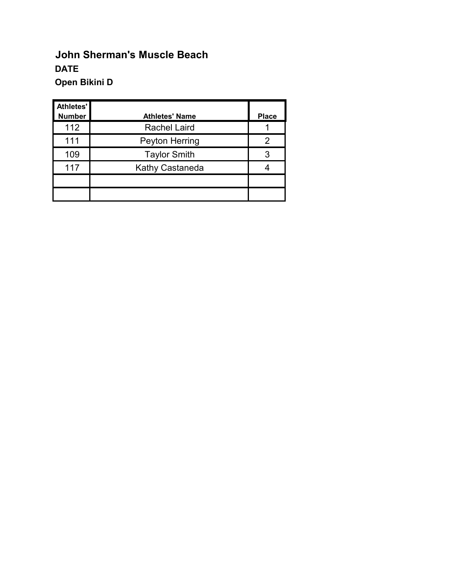# **John Sherman's Muscle Beach DATE Open Bikini D**

| Athletes'<br><b>Number</b> | <b>Athletes' Name</b>  | <b>Place</b> |
|----------------------------|------------------------|--------------|
| 112                        | <b>Rachel Laird</b>    |              |
| 111                        | Peyton Herring         | 2            |
| 109                        | <b>Taylor Smith</b>    | 3            |
| 117                        | <b>Kathy Castaneda</b> |              |
|                            |                        |              |
|                            |                        |              |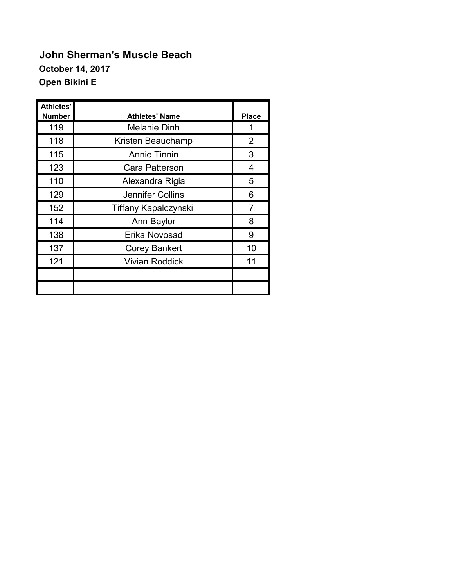# **John Sherman's Muscle Beach October 14, 2017 Open Bikini E**

| Athletes'<br><b>Number</b> | <b>Athletes' Name</b>       | <b>Place</b> |
|----------------------------|-----------------------------|--------------|
| 119                        | <b>Melanie Dinh</b>         | 1            |
| 118                        | Kristen Beauchamp           | 2            |
| 115                        | <b>Annie Tinnin</b>         | 3            |
| 123                        | Cara Patterson              | 4            |
| 110                        | Alexandra Rigia             | 5            |
| 129                        | Jennifer Collins            | 6            |
| 152                        | <b>Tiffany Kapalczynski</b> | 7            |
| 114                        | Ann Baylor                  | 8            |
| 138                        | Erika Novosad               | 9            |
| 137                        | <b>Corey Bankert</b>        | 10           |
| 121                        | <b>Vivian Roddick</b>       | 11           |
|                            |                             |              |
|                            |                             |              |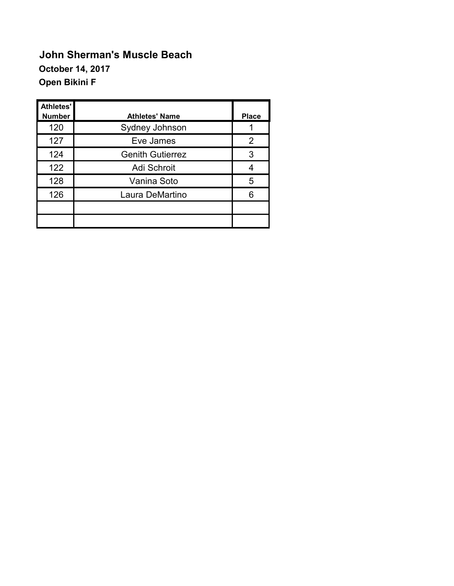# **John Sherman's Muscle Beach October 14, 2017 Open Bikini F**

| Athletes'<br><b>Number</b> | <b>Athletes' Name</b>   | <b>Place</b> |
|----------------------------|-------------------------|--------------|
| 120                        | Sydney Johnson          |              |
| 127                        | Eve James               | 2            |
| 124                        | <b>Genith Gutierrez</b> | 3            |
| 122                        | Adi Schroit             |              |
| 128                        | Vanina Soto             | 5            |
| 126                        | Laura DeMartino         | 6            |
|                            |                         |              |
|                            |                         |              |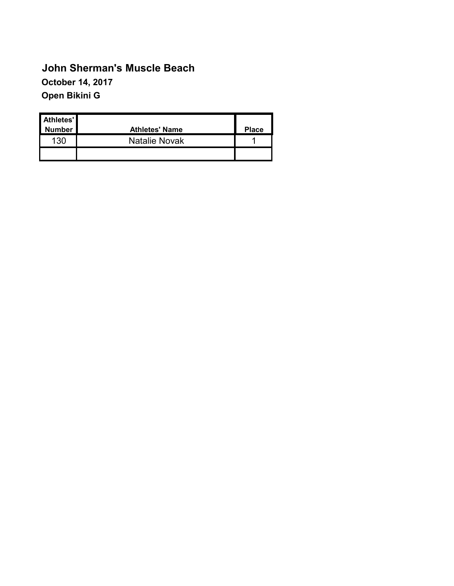# **John Sherman's Muscle Beach October 14, 2017 Open Bikini G**

| Athletes'<br><b>Number</b> | <b>Athletes' Name</b> | <b>Place</b> |
|----------------------------|-----------------------|--------------|
| 130                        | <b>Natalie Novak</b>  |              |
|                            |                       |              |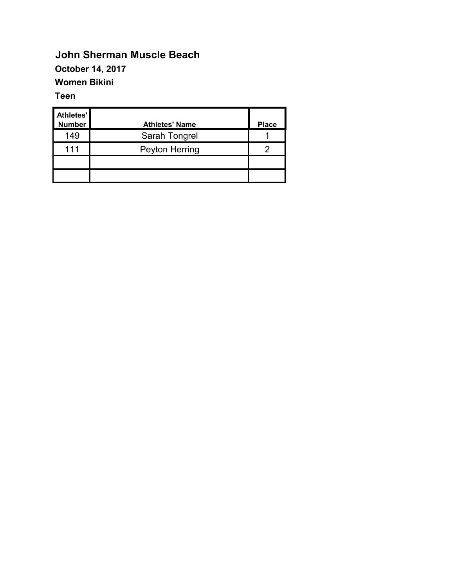#### **John Sherman Muscle Beach October 14, 2017 Women Bikini**

#### **Teen**

| <b>Athletes'</b><br><b>Number</b> | <b>Athletes' Name</b> | <b>Place</b> |
|-----------------------------------|-----------------------|--------------|
| 149                               | Sarah Tongrel         |              |
| 111                               | Peyton Herring        | っ            |
|                                   |                       |              |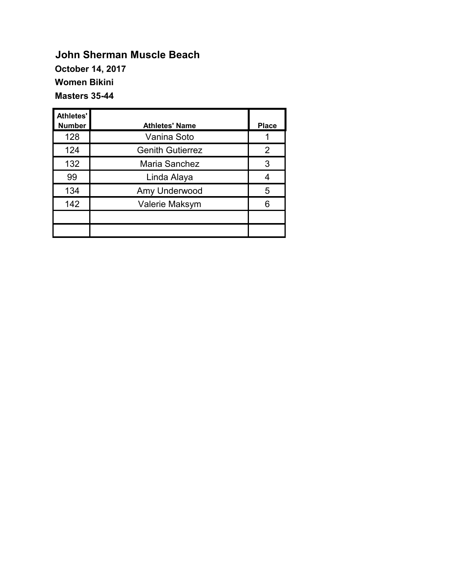### **John Sherman Muscle Beach October 14, 2017 Women Bikini Masters 35-44**

| Athletes'     |                         |              |
|---------------|-------------------------|--------------|
| <b>Number</b> | <b>Athletes' Name</b>   | <b>Place</b> |
| 128           | Vanina Soto             |              |
| 124           | <b>Genith Gutierrez</b> | 2            |
| 132           | Maria Sanchez           | 3            |
| 99            | Linda Alaya             | 4            |
| 134           | Amy Underwood           | 5            |
| 142           | Valerie Maksym          | 6            |
|               |                         |              |
|               |                         |              |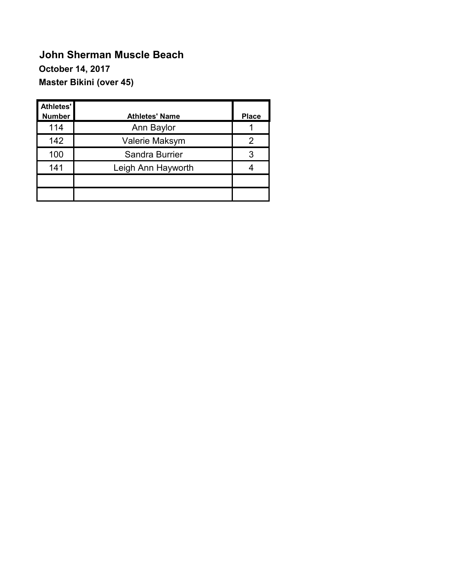# **John Sherman Muscle Beach October 14, 2017 Master Bikini (over 45)**

| Athletes'<br><b>Number</b> | <b>Athletes' Name</b> | <b>Place</b> |
|----------------------------|-----------------------|--------------|
| 114                        | Ann Baylor            |              |
| 142                        | Valerie Maksym        | 2            |
| 100                        | Sandra Burrier        | 3            |
| 141                        | Leigh Ann Hayworth    |              |
|                            |                       |              |
|                            |                       |              |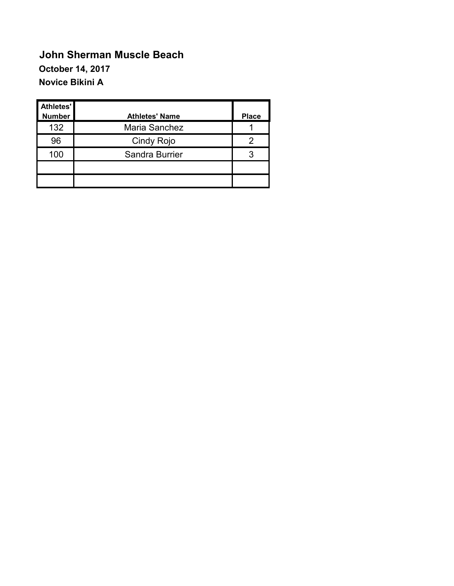# **John Sherman Muscle Beach October 14, 2017 Novice Bikini A**

| Athletes'<br><b>Number</b> | <b>Athletes' Name</b> | <b>Place</b> |
|----------------------------|-----------------------|--------------|
| 132                        | Maria Sanchez         |              |
| 96                         | Cindy Rojo            | 2            |
| 100                        | Sandra Burrier        | 3            |
|                            |                       |              |
|                            |                       |              |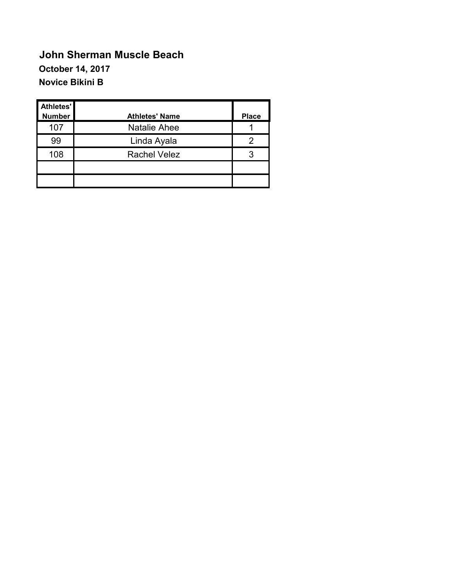# **John Sherman Muscle Beach October 14, 2017 Novice Bikini B**

| <b>Athletes'</b><br><b>Number</b> | <b>Athletes' Name</b> | <b>Place</b> |
|-----------------------------------|-----------------------|--------------|
| 107                               | <b>Natalie Ahee</b>   |              |
| 99                                | Linda Ayala           | 2            |
| 108                               | <b>Rachel Velez</b>   | 3            |
|                                   |                       |              |
|                                   |                       |              |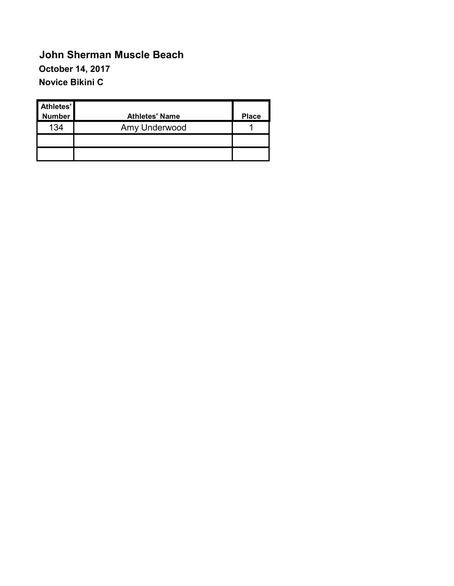## **John Sherman Muscle Beach October 14, 2017 Novice Bikini C**

| Athletes'<br><b>Number</b> | <b>Athletes' Name</b> | <b>Place</b> |
|----------------------------|-----------------------|--------------|
| 134                        | Amy Underwood         |              |
|                            |                       |              |
|                            |                       |              |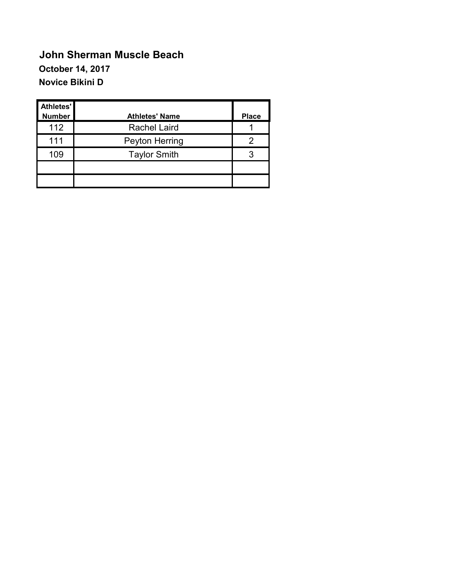# **John Sherman Muscle Beach October 14, 2017 Novice Bikini D**

| Athletes'<br><b>Number</b> | <b>Athletes' Name</b> | <b>Place</b> |
|----------------------------|-----------------------|--------------|
| 112                        | <b>Rachel Laird</b>   |              |
| 111                        | Peyton Herring        | 2            |
| 109                        | <b>Taylor Smith</b>   | 3            |
|                            |                       |              |
|                            |                       |              |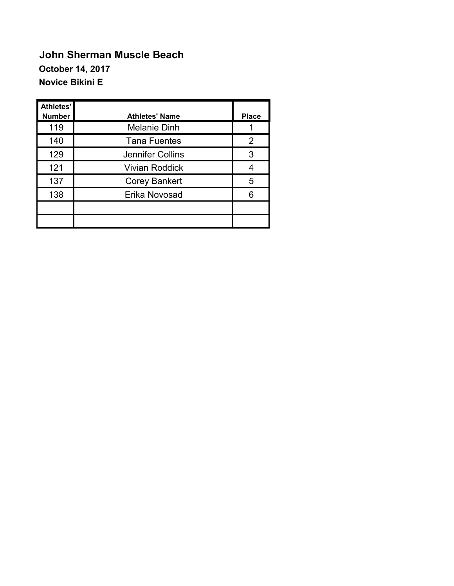## **John Sherman Muscle Beach October 14, 2017 Novice Bikini E**

| Athletes'<br><b>Number</b> | <b>Athletes' Name</b> | <b>Place</b> |
|----------------------------|-----------------------|--------------|
| 119                        | <b>Melanie Dinh</b>   |              |
| 140                        | <b>Tana Fuentes</b>   | 2            |
| 129                        | Jennifer Collins      | 3            |
| 121                        | <b>Vivian Roddick</b> | 4            |
| 137                        | <b>Corey Bankert</b>  | 5            |
| 138                        | Erika Novosad         | 6            |
|                            |                       |              |
|                            |                       |              |